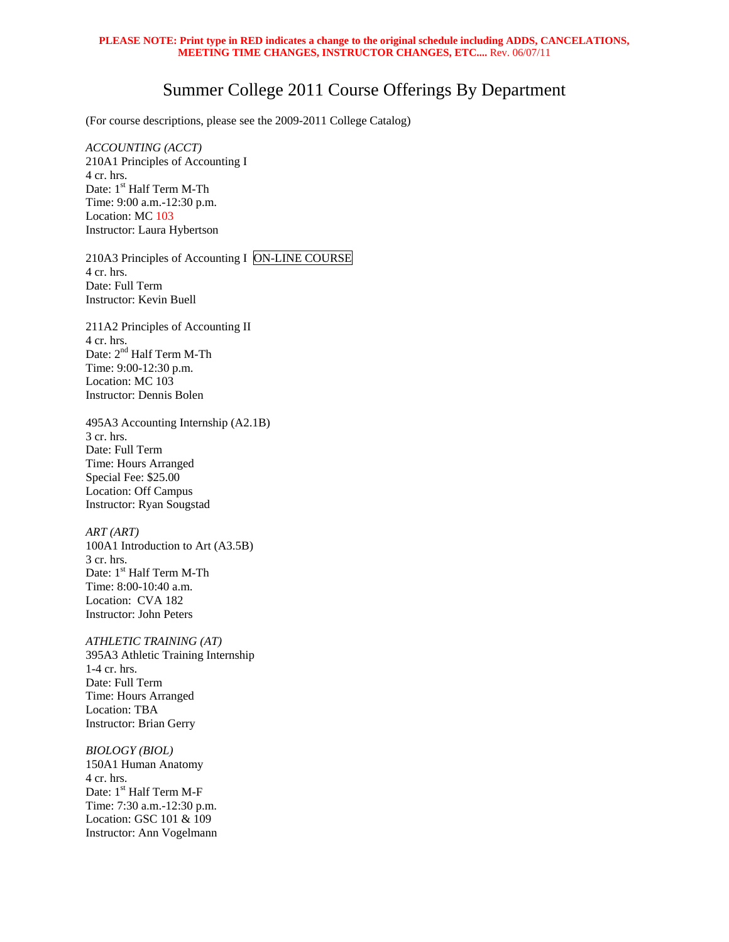## **PLEASE NOTE: Print type in RED indicates a change to the original schedule including ADDS, CANCELATIONS, MEETING TIME CHANGES, INSTRUCTOR CHANGES, ETC....** Rev. 06/07/11

## Summer College 2011 Course Offerings By Department

(For course descriptions, please see the 2009-2011 College Catalog)

*ACCOUNTING (ACCT)* 210A1 Principles of Accounting I 4 cr. hrs. Date: 1<sup>st</sup> Half Term M-Th Time: 9:00 a.m.-12:30 p.m. Location: MC 103 Instructor: Laura Hybertson

210A3 Principles of Accounting I ON-LINE COURSE 4 cr. hrs. Date: Full Term Instructor: Kevin Buell

211A2 Principles of Accounting II 4 cr. hrs. Date:  $2^{\rm nd}$  Half Term M-Th Time: 9:00-12:30 p.m. Location: MC 103 Instructor: Dennis Bolen

495A3 Accounting Internship (A2.1B) 3 cr. hrs. Date: Full Term Time: Hours Arranged Special Fee: \$25.00 Location: Off Campus Instructor: Ryan Sougstad

*ART (ART)*  100A1 Introduction to Art (A3.5B) 3 cr. hrs. Date: 1<sup>st</sup> Half Term M-Th Time: 8:00-10:40 a.m. Location: CVA 182 Instructor: John Peters

*ATHLETIC TRAINING (AT)*  395A3 Athletic Training Internship 1-4 cr. hrs. Date: Full Term Time: Hours Arranged Location: TBA Instructor: Brian Gerry

*BIOLOGY (BIOL)*  150A1 Human Anatomy 4 cr. hrs. Date: 1<sup>st</sup> Half Term M-F Time: 7:30 a.m.-12:30 p.m. Location: GSC 101 & 109 Instructor: Ann Vogelmann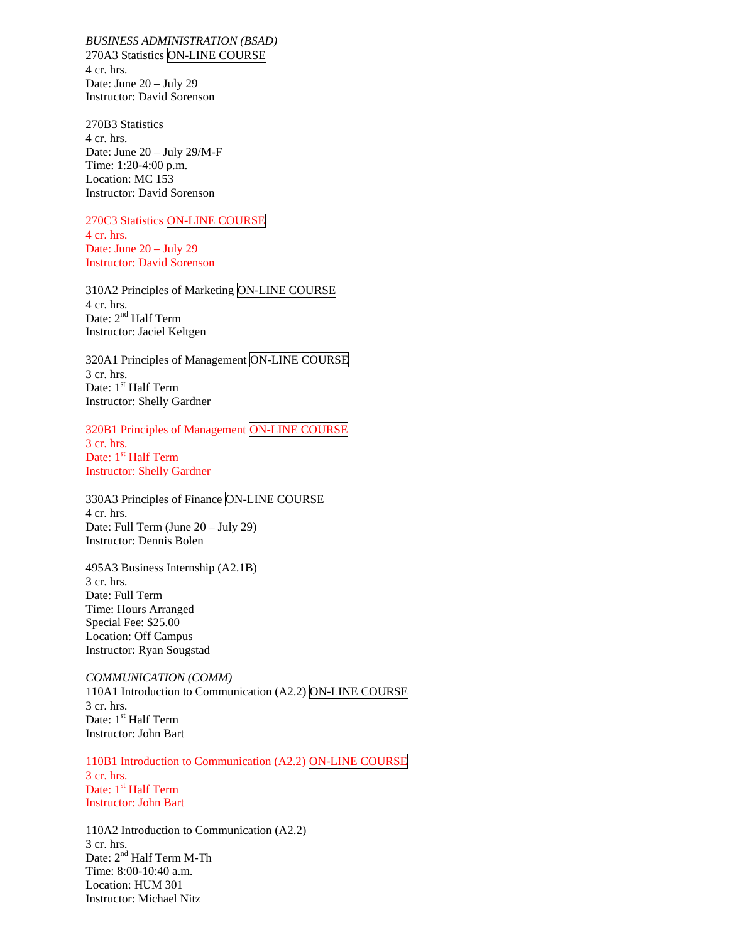*BUSINESS ADMINISTRATION (BSAD)*  270A3 Statistics ON-LINE COURSE 4 cr. hrs. Date: June 20 – July 29 Instructor: David Sorenson

270B3 Statistics 4 cr. hrs. Date: June 20 – July 29/M-F Time: 1:20-4:00 p.m. Location: MC 153 Instructor: David Sorenson

270C3 Statistics ON-LINE COURSE 4 cr. hrs. Date: June 20 – July 29 Instructor: David Sorenson

310A2 Principles of Marketing ON-LINE COURSE 4 cr. hrs. Date: 2<sup>nd</sup> Half Term Instructor: Jaciel Keltgen

320A1 Principles of Management ON-LINE COURSE 3 cr. hrs. Date: 1<sup>st</sup> Half Term Instructor: Shelly Gardner

320B1 Principles of Management ON-LINE COURSE 3 cr. hrs. Date: 1<sup>st</sup> Half Term Instructor: Shelly Gardner

330A3 Principles of Finance ON-LINE COURSE 4 cr. hrs. Date: Full Term (June 20 – July 29) Instructor: Dennis Bolen

495A3 Business Internship (A2.1B) 3 cr. hrs. Date: Full Term Time: Hours Arranged Special Fee: \$25.00 Location: Off Campus Instructor: Ryan Sougstad

*COMMUNICATION (COMM)* 110A1 Introduction to Communication (A2.2) ON-LINE COURSE 3 cr. hrs. Date: 1<sup>st</sup> Half Term Instructor: John Bart

110B1 Introduction to Communication (A2.2) ON-LINE COURSE 3 cr. hrs. Date: 1<sup>st</sup> Half Term Instructor: John Bart

110A2 Introduction to Communication (A2.2) 3 cr. hrs. Date:  $2<sup>nd</sup>$  Half Term M-Th Time: 8:00-10:40 a.m. Location: HUM 301 Instructor: Michael Nitz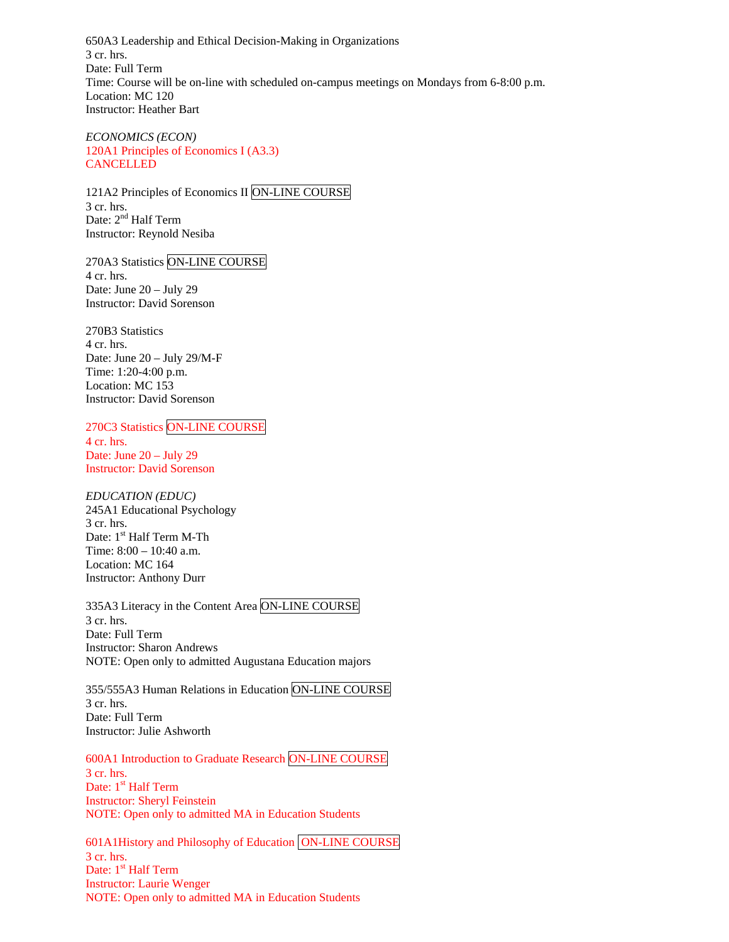650A3 Leadership and Ethical Decision-Making in Organizations 3 cr. hrs. Date: Full Term Time: Course will be on-line with scheduled on-campus meetings on Mondays from 6-8:00 p.m. Location: MC 120 Instructor: Heather Bart

*ECONOMICS (ECON)* 120A1 Principles of Economics I (A3.3) CANCELLED

121A2 Principles of Economics II ON-LINE COURSE 3 cr. hrs. Date: 2<sup>nd</sup> Half Term Instructor: Reynold Nesiba

270A3 Statistics ON-LINE COURSE 4 cr. hrs. Date: June 20 – July 29 Instructor: David Sorenson

270B3 Statistics 4 cr. hrs. Date: June 20 – July 29/M-F Time: 1:20-4:00 p.m. Location: MC 153 Instructor: David Sorenson

270C3 Statistics ON-LINE COURSE 4 cr. hrs. Date: June 20 – July 29 Instructor: David Sorenson

*EDUCATION (EDUC)*  245A1 Educational Psychology 3 cr. hrs. Date: 1<sup>st</sup> Half Term M-Th Time: 8:00 – 10:40 a.m. Location: MC 164 Instructor: Anthony Durr

335A3 Literacy in the Content Area ON-LINE COURSE 3 cr. hrs. Date: Full Term Instructor: Sharon Andrews NOTE: Open only to admitted Augustana Education majors

355/555A3 Human Relations in Education ON-LINE COURSE 3 cr. hrs. Date: Full Term Instructor: Julie Ashworth

600A1 Introduction to Graduate Research ON-LINE COURSE 3 cr. hrs. Date: 1<sup>st</sup> Half Term Instructor: Sheryl Feinstein NOTE: Open only to admitted MA in Education Students

601A1History and Philosophy of Education ON-LINE COURSE 3 cr. hrs. Date: 1<sup>st</sup> Half Term Instructor: Laurie Wenger NOTE: Open only to admitted MA in Education Students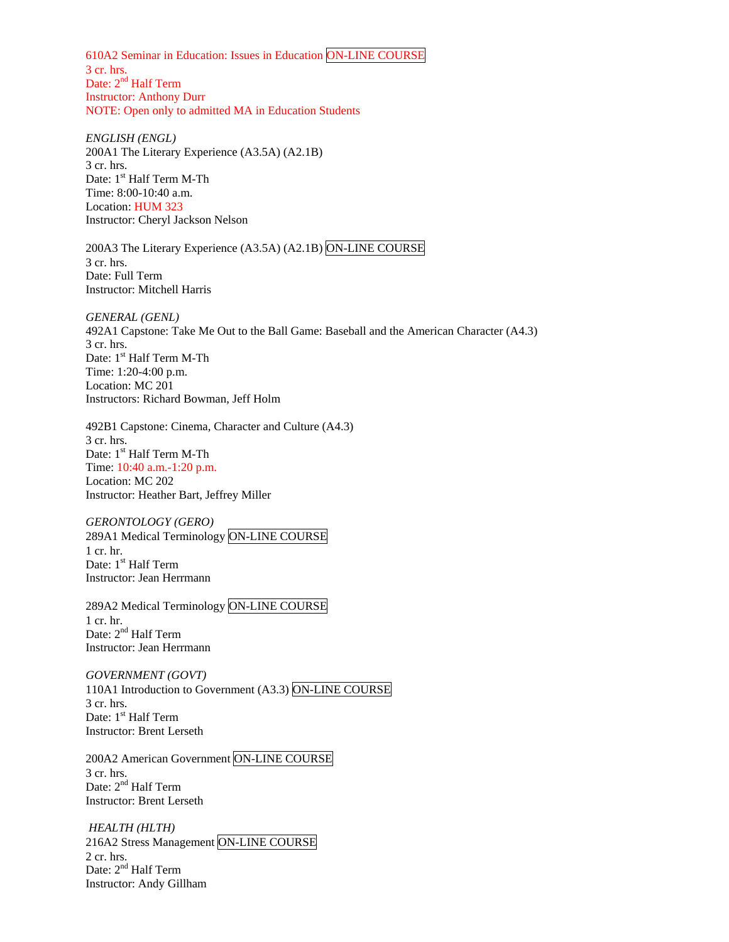610A2 Seminar in Education: Issues in Education ON-LINE COURSE 3 cr. hrs. Date: 2<sup>nd</sup> Half Term Instructor: Anthony Durr NOTE: Open only to admitted MA in Education Students

*ENGLISH (ENGL)*  200A1 The Literary Experience (A3.5A) (A2.1B) 3 cr. hrs. Date: 1<sup>st</sup> Half Term M-Th Time: 8:00-10:40 a.m. Location: HUM 323 Instructor: Cheryl Jackson Nelson

200A3 The Literary Experience (A3.5A) (A2.1B) ON-LINE COURSE 3 cr. hrs. Date: Full Term Instructor: Mitchell Harris

*GENERAL (GENL)*  492A1 Capstone: Take Me Out to the Ball Game: Baseball and the American Character (A4.3) 3 cr. hrs. Date: 1<sup>st</sup> Half Term M-Th Time: 1:20-4:00 p.m. Location: MC 201 Instructors: Richard Bowman, Jeff Holm

492B1 Capstone: Cinema, Character and Culture (A4.3) 3 cr. hrs. Date: 1<sup>st</sup> Half Term M-Th Time: 10:40 a.m.-1:20 p.m. Location: MC 202 Instructor: Heather Bart, Jeffrey Miller

*GERONTOLOGY (GERO)*  289A1 Medical Terminology ON-LINE COURSE 1 cr. hr. Date: 1<sup>st</sup> Half Term Instructor: Jean Herrmann

289A2 Medical Terminology ON-LINE COURSE 1 cr. hr. Date: 2<sup>nd</sup> Half Term Instructor: Jean Herrmann

*GOVERNMENT (GOVT)*  110A1 Introduction to Government (A3.3) ON-LINE COURSE 3 cr. hrs. Date: 1<sup>st</sup> Half Term Instructor: Brent Lerseth

200A2 American Government ON-LINE COURSE 3 cr. hrs. Date: 2<sup>nd</sup> Half Term Instructor: Brent Lerseth

*HEALTH (HLTH)*  216A2 Stress Management ON-LINE COURSE 2 cr. hrs. Date: 2<sup>nd</sup> Half Term Instructor: Andy Gillham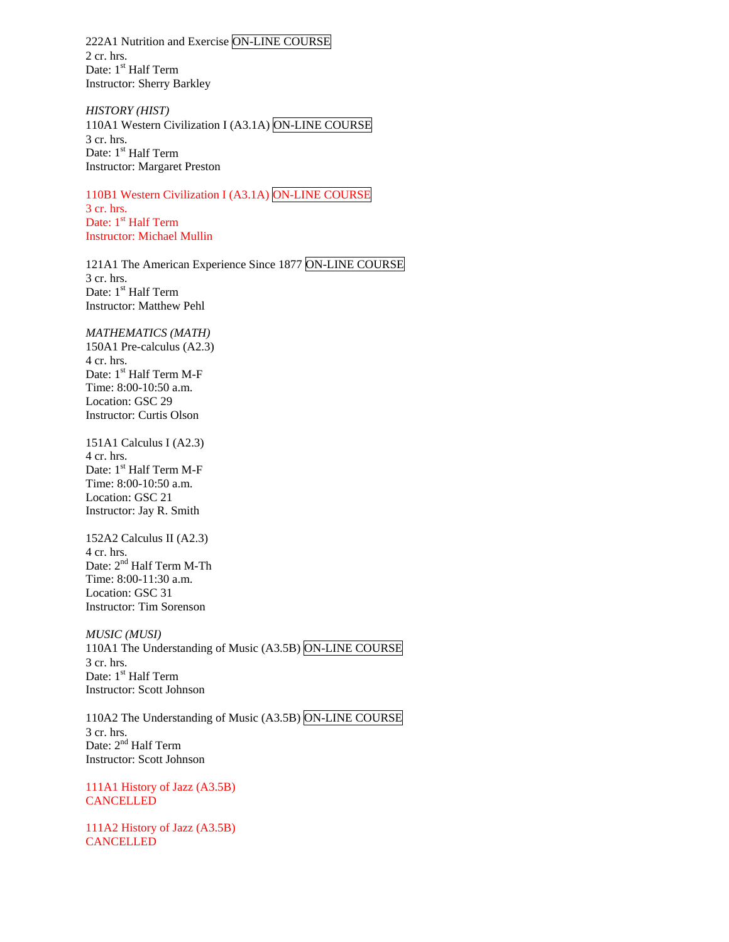222A1 Nutrition and Exercise ON-LINE COURSE 2 cr. hrs. Date: 1<sup>st</sup> Half Term Instructor: Sherry Barkley

*HISTORY (HIST)*  110A1 Western Civilization I (A3.1A) ON-LINE COURSE 3 cr. hrs. Date: 1<sup>st</sup> Half Term Instructor: Margaret Preston

110B1 Western Civilization I (A3.1A) ON-LINE COURSE 3 cr. hrs. Date: 1<sup>st</sup> Half Term Instructor: Michael Mullin

121A1 The American Experience Since 1877 ON-LINE COURSE 3 cr. hrs. Date: 1<sup>st</sup> Half Term Instructor: Matthew Pehl

*MATHEMATICS (MATH)*  150A1 Pre-calculus (A2.3) 4 cr. hrs. Date: 1<sup>st</sup> Half Term M-F Time: 8:00-10:50 a.m. Location: GSC 29 Instructor: Curtis Olson

151A1 Calculus I (A2.3) 4 cr. hrs. Date: 1<sup>st</sup> Half Term M-F Time: 8:00-10:50 a.m. Location: GSC 21 Instructor: Jay R. Smith

152A2 Calculus II (A2.3) 4 cr. hrs. Date: 2<sup>nd</sup> Half Term M-Th Time: 8:00-11:30 a.m. Location: GSC 31 Instructor: Tim Sorenson

*MUSIC (MUSI)* 110A1 The Understanding of Music (A3.5B) ON-LINE COURSE 3 cr. hrs. Date: 1<sup>st</sup> Half Term Instructor: Scott Johnson

110A2 The Understanding of Music (A3.5B) ON-LINE COURSE 3 cr. hrs. Date: 2<sup>nd</sup> Half Term Instructor: Scott Johnson

111A1 History of Jazz (A3.5B) **CANCELLED** 

111A2 History of Jazz (A3.5B) **CANCELLED**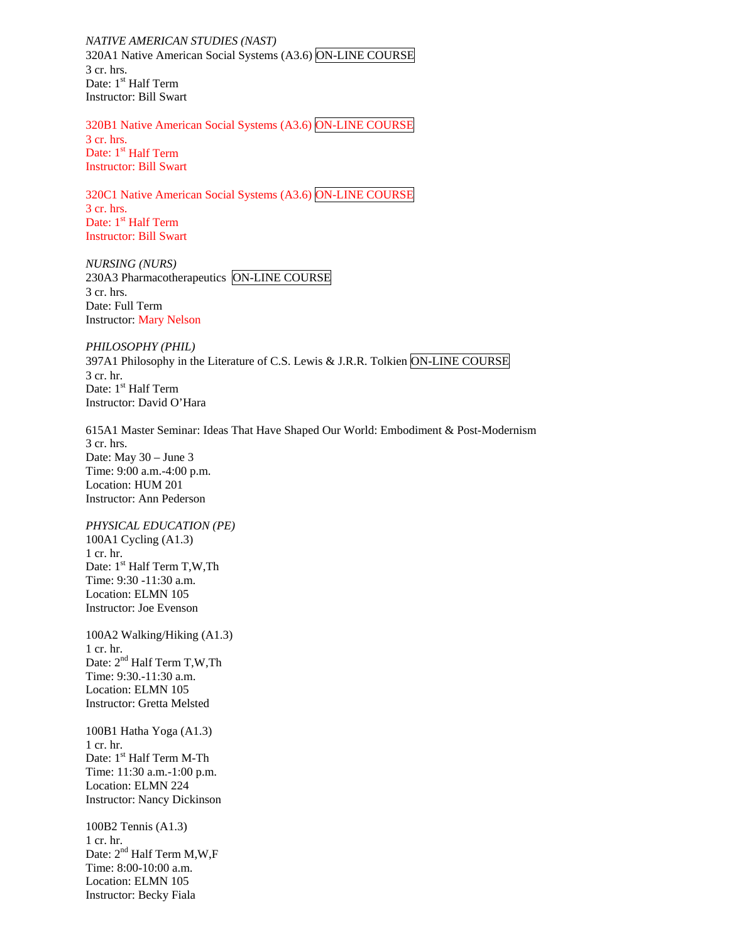*NATIVE AMERICAN STUDIES (NAST)*  320A1 Native American Social Systems (A3.6) ON-LINE COURSE 3 cr. hrs. Date: 1<sup>st</sup> Half Term Instructor: Bill Swart

320B1 Native American Social Systems (A3.6) ON-LINE COURSE 3 cr. hrs. Date: 1<sup>st</sup> Half Term Instructor: Bill Swart

320C1 Native American Social Systems (A3.6) ON-LINE COURSE 3 cr. hrs. Date: 1<sup>st</sup> Half Term Instructor: Bill Swart

*NURSING (NURS)*  230A3 Pharmacotherapeutics ON-LINE COURSE 3 cr. hrs. Date: Full Term Instructor: Mary Nelson

*PHILOSOPHY (PHIL)*  397A1 Philosophy in the Literature of C.S. Lewis & J.R.R. Tolkien ON-LINE COURSE 3 cr. hr. Date: 1<sup>st</sup> Half Term Instructor: David O'Hara

615A1 Master Seminar: Ideas That Have Shaped Our World: Embodiment & Post-Modernism 3 cr. hrs. Date: May 30 – June 3 Time: 9:00 a.m.-4:00 p.m. Location: HUM 201 Instructor: Ann Pederson

*PHYSICAL EDUCATION (PE)* 100A1 Cycling (A1.3) 1 cr. hr. Date: 1<sup>st</sup> Half Term T,W,Th Time: 9:30 -11:30 a.m. Location: ELMN 105 Instructor: Joe Evenson

100A2 Walking/Hiking (A1.3) 1 cr. hr. Date: 2<sup>nd</sup> Half Term T,W,Th Time: 9:30.-11:30 a.m. Location: ELMN 105 Instructor: Gretta Melsted

100B1 Hatha Yoga (A1.3) 1 cr. hr. Date: 1<sup>st</sup> Half Term M-Th Time: 11:30 a.m.-1:00 p.m. Location: ELMN 224 Instructor: Nancy Dickinson

100B2 Tennis (A1.3) 1 cr. hr. Date:  $2<sup>nd</sup>$  Half Term M,W,F Time: 8:00-10:00 a.m. Location: ELMN 105 Instructor: Becky Fiala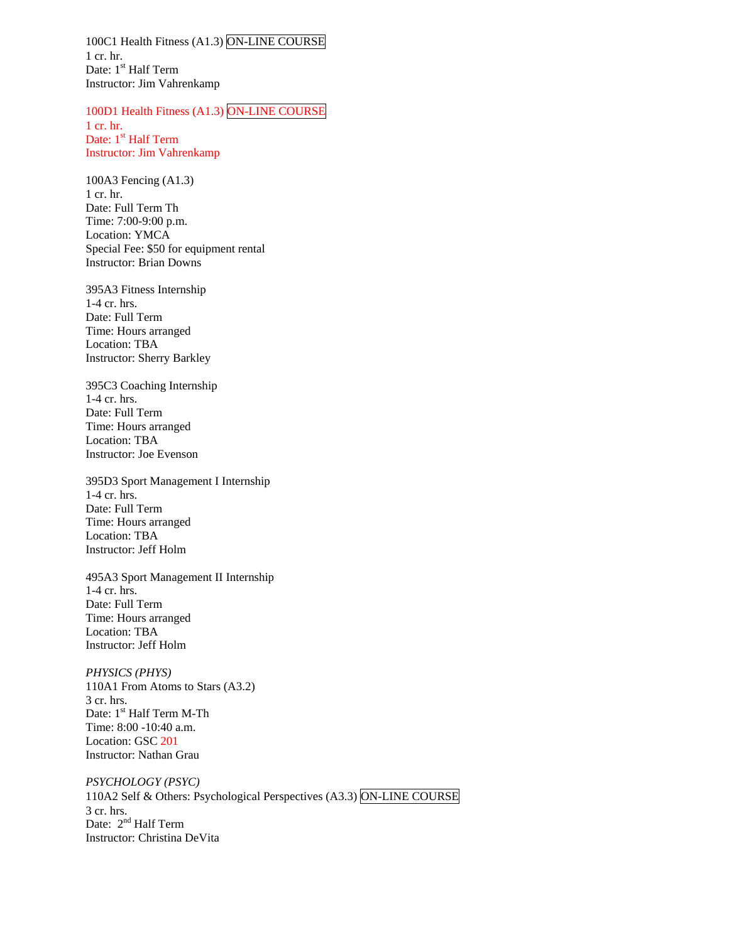100C1 Health Fitness (A1.3) ON-LINE COURSE 1 cr. hr. Date: 1<sup>st</sup> Half Term Instructor: Jim Vahrenkamp

100D1 Health Fitness (A1.3) ON-LINE COURSE

1 cr. hr. Date: 1<sup>st</sup> Half Term Instructor: Jim Vahrenkamp

100A3 Fencing (A1.3) 1 cr. hr. Date: Full Term Th Time: 7:00-9:00 p.m. Location: YMCA Special Fee: \$50 for equipment rental Instructor: Brian Downs

395A3 Fitness Internship 1-4 cr. hrs. Date: Full Term Time: Hours arranged Location: TBA Instructor: Sherry Barkley

395C3 Coaching Internship 1-4 cr. hrs. Date: Full Term Time: Hours arranged Location: TBA Instructor: Joe Evenson

395D3 Sport Management I Internship 1-4 cr. hrs. Date: Full Term Time: Hours arranged Location: TBA Instructor: Jeff Holm

495A3 Sport Management II Internship 1-4 cr. hrs. Date: Full Term Time: Hours arranged Location: TBA Instructor: Jeff Holm

*PHYSICS (PHYS)*  110A1 From Atoms to Stars (A3.2) 3 cr. hrs. Date: 1<sup>st</sup> Half Term M-Th Time: 8:00 -10:40 a.m. Location: GSC 201 Instructor: Nathan Grau

*PSYCHOLOGY (PSYC)* 110A2 Self & Others: Psychological Perspectives (A3.3) ON-LINE COURSE 3 cr. hrs. Date: 2<sup>nd</sup> Half Term Instructor: Christina DeVita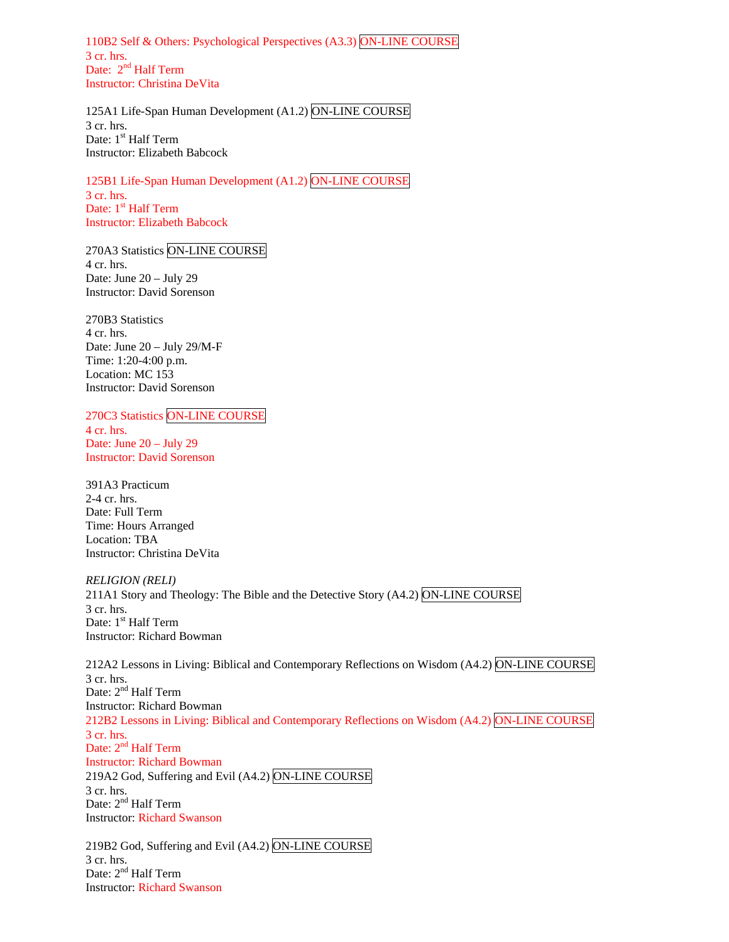110B2 Self & Others: Psychological Perspectives (A3.3) ON-LINE COURSE 3 cr. hrs. Date: 2<sup>nd</sup> Half Term Instructor: Christina DeVita

125A1 Life-Span Human Development (A1.2) ON-LINE COURSE 3 cr. hrs. Date: 1<sup>st</sup> Half Term Instructor: Elizabeth Babcock

125B1 Life-Span Human Development (A1.2) ON-LINE COURSE 3 cr. hrs. Date: 1<sup>st</sup> Half Term Instructor: Elizabeth Babcock

270A3 Statistics ON-LINE COURSE 4 cr. hrs. Date: June 20 – July 29 Instructor: David Sorenson

270B3 Statistics 4 cr. hrs. Date: June 20 – July 29/M-F Time: 1:20-4:00 p.m. Location: MC 153 Instructor: David Sorenson

270C3 Statistics ON-LINE COURSE 4 cr. hrs. Date: June 20 – July 29 Instructor: David Sorenson

391A3 Practicum 2-4 cr. hrs. Date: Full Term Time: Hours Arranged Location: TBA Instructor: Christina DeVita

*RELIGION (RELI)*  211A1 Story and Theology: The Bible and the Detective Story  $(A4.2)$  ON-LINE COURSE 3 cr. hrs. Date: 1<sup>st</sup> Half Term Instructor: Richard Bowman

212A2 Lessons in Living: Biblical and Contemporary Reflections on Wisdom (A4.2) ON-LINE COURSE 3 cr. hrs. Date: 2<sup>nd</sup> Half Term Instructor: Richard Bowman 212B2 Lessons in Living: Biblical and Contemporary Reflections on Wisdom (A4.2) ON-LINE COURSE 3 cr. hrs. Date: 2<sup>nd</sup> Half Term Instructor: Richard Bowman 219A2 God, Suffering and Evil (A4.2) ON-LINE COURSE 3 cr. hrs. Date: 2<sup>nd</sup> Half Term Instructor: Richard Swanson

219B2 God, Suffering and Evil (A4.2) ON-LINE COURSE 3 cr. hrs. Date: 2<sup>nd</sup> Half Term Instructor: Richard Swanson